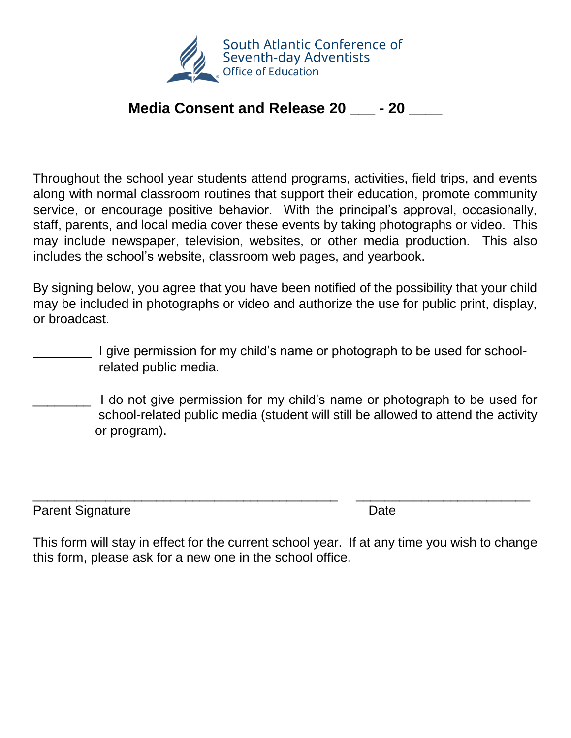

## **Media Consent and Release 20**  $-$  **- 20**

Throughout the school year students attend programs, activities, field trips, and events along with normal classroom routines that support their education, promote community service, or encourage positive behavior. With the principal's approval, occasionally, staff, parents, and local media cover these events by taking photographs or video. This may include newspaper, television, websites, or other media production. This also includes the school's website, classroom web pages, and yearbook.

By signing below, you agree that you have been notified of the possibility that your child may be included in photographs or video and authorize the use for public print, display, or broadcast.

I give permission for my child's name or photograph to be used for schoolrelated public media.

I do not give permission for my child's name or photograph to be used for school-related public media (student will still be allowed to attend the activity or program).

Parent Signature Date Date

This form will stay in effect for the current school year. If at any time you wish to change this form, please ask for a new one in the school office.

\_\_\_\_\_\_\_\_\_\_\_\_\_\_\_\_\_\_\_\_\_\_\_\_\_\_\_\_\_\_\_\_\_\_\_\_\_\_\_\_\_\_ \_\_\_\_\_\_\_\_\_\_\_\_\_\_\_\_\_\_\_\_\_\_\_\_